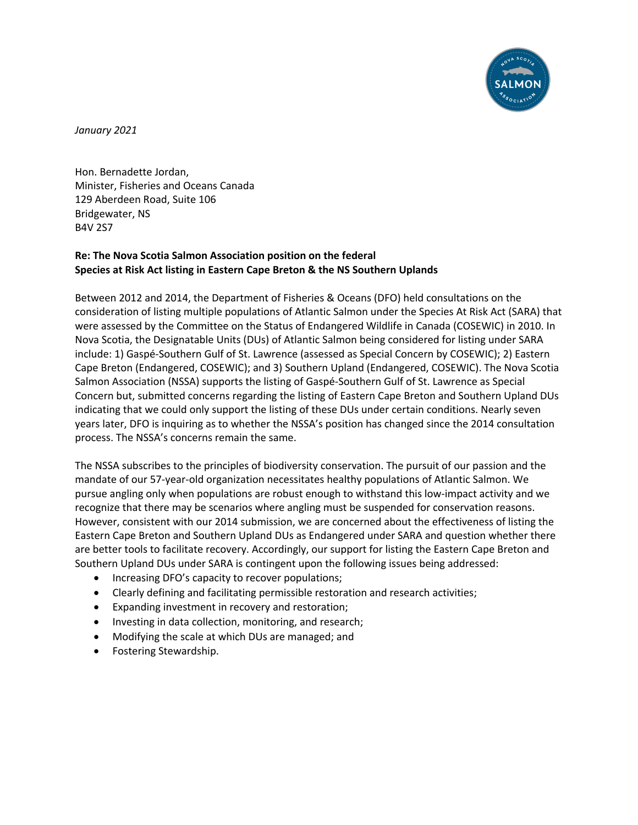

*January 2021*

Hon. Bernadette Jordan, Minister, Fisheries and Oceans Canada 129 Aberdeen Road, Suite 106 Bridgewater, NS B4V 2S7

# **Re: The Nova Scotia Salmon Association position on the federal Species at Risk Act listing in Eastern Cape Breton & the NS Southern Uplands**

Between 2012 and 2014, the Department of Fisheries & Oceans (DFO) held consultations on the consideration of listing multiple populations of Atlantic Salmon under the Species At Risk Act (SARA) that were assessed by the Committee on the Status of Endangered Wildlife in Canada (COSEWIC) in 2010. In Nova Scotia, the Designatable Units (DUs) of Atlantic Salmon being considered for listing under SARA include: 1) Gaspé-Southern Gulf of St. Lawrence (assessed as Special Concern by COSEWIC); 2) Eastern Cape Breton (Endangered, COSEWIC); and 3) Southern Upland (Endangered, COSEWIC). The Nova Scotia Salmon Association (NSSA) supports the listing of Gaspé-Southern Gulf of St. Lawrence as Special Concern but, submitted concerns regarding the listing of Eastern Cape Breton and Southern Upland DUs indicating that we could only support the listing of these DUs under certain conditions. Nearly seven years later, DFO is inquiring as to whether the NSSA's position has changed since the 2014 consultation process. The NSSA's concerns remain the same.

The NSSA subscribes to the principles of biodiversity conservation. The pursuit of our passion and the mandate of our 57-year-old organization necessitates healthy populations of Atlantic Salmon. We pursue angling only when populations are robust enough to withstand this low-impact activity and we recognize that there may be scenarios where angling must be suspended for conservation reasons. However, consistent with our 2014 submission, we are concerned about the effectiveness of listing the Eastern Cape Breton and Southern Upland DUs as Endangered under SARA and question whether there are better tools to facilitate recovery. Accordingly, our support for listing the Eastern Cape Breton and Southern Upland DUs under SARA is contingent upon the following issues being addressed:

- Increasing DFO's capacity to recover populations;
- Clearly defining and facilitating permissible restoration and research activities;
- Expanding investment in recovery and restoration;
- Investing in data collection, monitoring, and research;
- Modifying the scale at which DUs are managed; and
- Fostering Stewardship.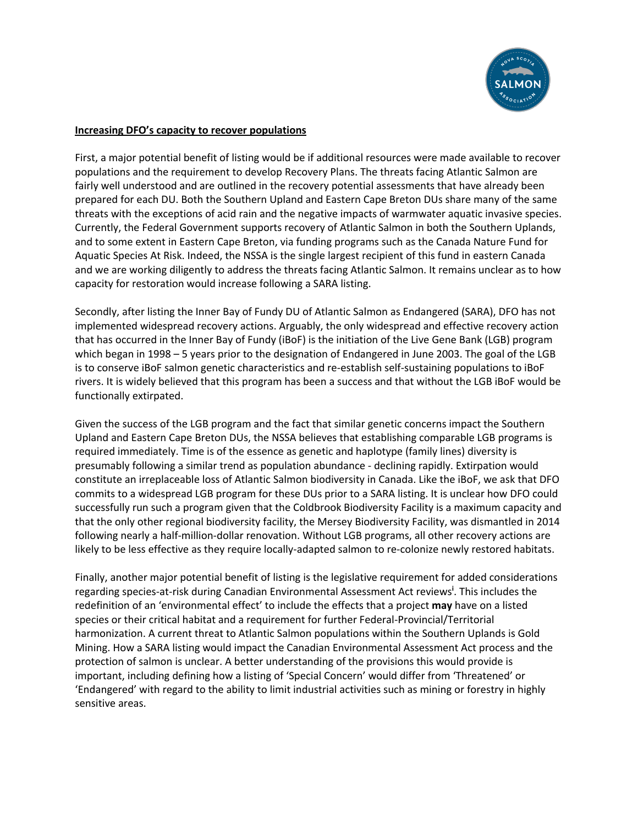

#### **Increasing DFO's capacity to recover populations**

First, a major potential benefit of listing would be if additional resources were made available to recover populations and the requirement to develop Recovery Plans. The threats facing Atlantic Salmon are fairly well understood and are outlined in the recovery potential assessments that have already been prepared for each DU. Both the Southern Upland and Eastern Cape Breton DUs share many of the same threats with the exceptions of acid rain and the negative impacts of warmwater aquatic invasive species. Currently, the Federal Government supports recovery of Atlantic Salmon in both the Southern Uplands, and to some extent in Eastern Cape Breton, via funding programs such as the Canada Nature Fund for Aquatic Species At Risk. Indeed, the NSSA is the single largest recipient of this fund in eastern Canada and we are working diligently to address the threats facing Atlantic Salmon. It remains unclear as to how capacity for restoration would increase following a SARA listing.

Secondly, after listing the Inner Bay of Fundy DU of Atlantic Salmon as Endangered (SARA), DFO has not implemented widespread recovery actions. Arguably, the only widespread and effective recovery action that has occurred in the Inner Bay of Fundy (iBoF) is the initiation of the Live Gene Bank (LGB) program which began in 1998 – 5 years prior to the designation of Endangered in June 2003. The goal of the LGB is to conserve iBoF salmon genetic characteristics and re-establish self-sustaining populations to iBoF rivers. It is widely believed that this program has been a success and that without the LGB iBoF would be functionally extirpated.

Given the success of the LGB program and the fact that similar genetic concerns impact the Southern Upland and Eastern Cape Breton DUs, the NSSA believes that establishing comparable LGB programs is required immediately. Time is of the essence as genetic and haplotype (family lines) diversity is presumably following a similar trend as population abundance - declining rapidly. Extirpation would constitute an irreplaceable loss of Atlantic Salmon biodiversity in Canada. Like the iBoF, we ask that DFO commits to a widespread LGB program for these DUs prior to a SARA listing. It is unclear how DFO could successfully run such a program given that the Coldbrook Biodiversity Facility is a maximum capacity and that the only other regional biodiversity facility, the Mersey Biodiversity Facility, was dismantled in 2014 following nearly a half-million-dollar renovation. Without LGB programs, all other recovery actions are likely to be less effective as they require locally-adapted salmon to re-colonize newly restored habitats.

Finally, another major potential benefit of listing is the legislative requirement for added considerations regarding species-at-risk during Canadian Environmental Assessment Act reviews**<sup>i</sup>** . This includes the redefinition of an 'environmental effect' to include the effects that a project **may** have on a listed species or their critical habitat and a requirement for further Federal-Provincial/Territorial harmonization. A current threat to Atlantic Salmon populations within the Southern Uplands is Gold Mining. How a SARA listing would impact the Canadian Environmental Assessment Act process and the protection of salmon is unclear. A better understanding of the provisions this would provide is important, including defining how a listing of 'Special Concern' would differ from 'Threatened' or 'Endangered' with regard to the ability to limit industrial activities such as mining or forestry in highly sensitive areas.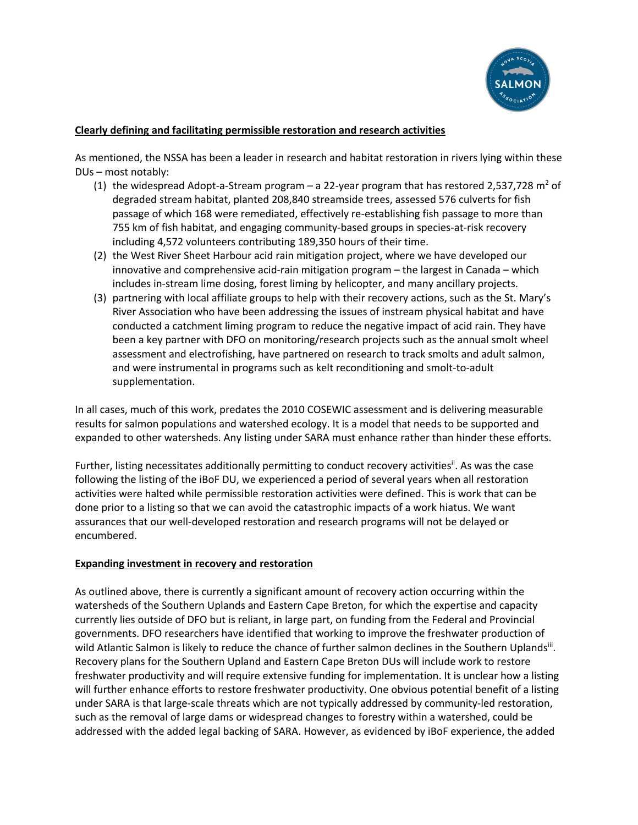

### **Clearly defining and facilitating permissible restoration and research activities**

As mentioned, the NSSA has been a leader in research and habitat restoration in rivers lying within these DUs – most notably:

- (1) the widespread Adopt-a-Stream program a 22-year program that has restored 2,537,728  $m^2$  of degraded stream habitat, planted 208,840 streamside trees, assessed 576 culverts for fish passage of which 168 were remediated, effectively re-establishing fish passage to more than 755 km of fish habitat, and engaging community-based groups in species-at-risk recovery including 4,572 volunteers contributing 189,350 hours of their time.
- (2) the West River Sheet Harbour acid rain mitigation project, where we have developed our innovative and comprehensive acid-rain mitigation program – the largest in Canada – which includes in-stream lime dosing, forest liming by helicopter, and many ancillary projects.
- (3) partnering with local affiliate groups to help with their recovery actions, such as the St. Mary's River Association who have been addressing the issues of instream physical habitat and have conducted a catchment liming program to reduce the negative impact of acid rain. They have been a key partner with DFO on monitoring/research projects such as the annual smolt wheel assessment and electrofishing, have partnered on research to track smolts and adult salmon, and were instrumental in programs such as kelt reconditioning and smolt-to-adult supplementation.

In all cases, much of this work, predates the 2010 COSEWIC assessment and is delivering measurable results for salmon populations and watershed ecology. It is a model that needs to be supported and expanded to other watersheds. Any listing under SARA must enhance rather than hinder these efforts.

Further, listing necessitates additionally permitting to conduct recovery activities<sup>ii</sup>. As was the case following the listing of the iBoF DU, we experienced a period of several years when all restoration activities were halted while permissible restoration activities were defined. This is work that can be done prior to a listing so that we can avoid the catastrophic impacts of a work hiatus. We want assurances that our well-developed restoration and research programs will not be delayed or encumbered.

#### **Expanding investment in recovery and restoration**

As outlined above, there is currently a significant amount of recovery action occurring within the watersheds of the Southern Uplands and Eastern Cape Breton, for which the expertise and capacity currently lies outside of DFO but is reliant, in large part, on funding from the Federal and Provincial governments. DFO researchers have identified that working to improve the freshwater production of wild Atlantic Salmon is likely to reduce the chance of further salmon declines in the Southern Uplands". Recovery plans for the Southern Upland and Eastern Cape Breton DUs will include work to restore freshwater productivity and will require extensive funding for implementation. It is unclear how a listing will further enhance efforts to restore freshwater productivity. One obvious potential benefit of a listing under SARA is that large-scale threats which are not typically addressed by community-led restoration, such as the removal of large dams or widespread changes to forestry within a watershed, could be addressed with the added legal backing of SARA. However, as evidenced by iBoF experience, the added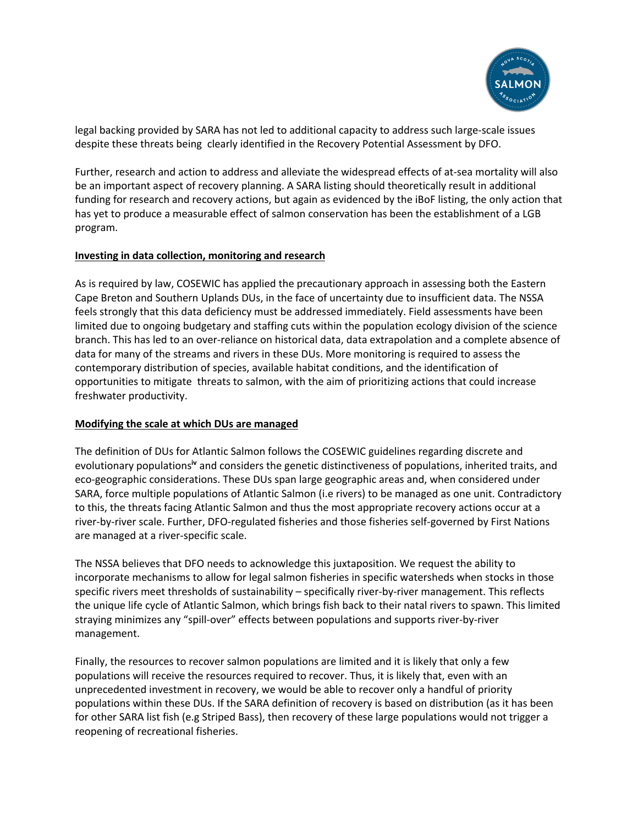

legal backing provided by SARA has not led to additional capacity to address such large-scale issues despite these threats being clearly identified in the Recovery Potential Assessment by DFO.

Further, research and action to address and alleviate the widespread effects of at-sea mortality will also be an important aspect of recovery planning. A SARA listing should theoretically result in additional funding for research and recovery actions, but again as evidenced by the iBoF listing, the only action that has yet to produce a measurable effect of salmon conservation has been the establishment of a LGB program.

## **Investing in data collection, monitoring and research**

As is required by law, COSEWIC has applied the precautionary approach in assessing both the Eastern Cape Breton and Southern Uplands DUs, in the face of uncertainty due to insufficient data. The NSSA feels strongly that this data deficiency must be addressed immediately. Field assessments have been limited due to ongoing budgetary and staffing cuts within the population ecology division of the science branch. This has led to an over-reliance on historical data, data extrapolation and a complete absence of data for many of the streams and rivers in these DUs. More monitoring is required to assess the contemporary distribution of species, available habitat conditions, and the identification of opportunities to mitigate threats to salmon, with the aim of prioritizing actions that could increase freshwater productivity.

#### **Modifying the scale at which DUs are managed**

The definition of DUs for Atlantic Salmon follows the COSEWIC guidelines regarding discrete and evolutionary populations**iv** and considers the genetic distinctiveness of populations, inherited traits, and eco-geographic considerations. These DUs span large geographic areas and, when considered under SARA, force multiple populations of Atlantic Salmon (i.e rivers) to be managed as one unit. Contradictory to this, the threats facing Atlantic Salmon and thus the most appropriate recovery actions occur at a river-by-river scale. Further, DFO-regulated fisheries and those fisheries self-governed by First Nations are managed at a river-specific scale.

The NSSA believes that DFO needs to acknowledge this juxtaposition. We request the ability to incorporate mechanisms to allow for legal salmon fisheries in specific watersheds when stocks in those specific rivers meet thresholds of sustainability – specifically river-by-river management. This reflects the unique life cycle of Atlantic Salmon, which brings fish back to their natal rivers to spawn. This limited straying minimizes any "spill-over" effects between populations and supports river-by-river management.

Finally, the resources to recover salmon populations are limited and it is likely that only a few populations will receive the resources required to recover. Thus, it is likely that, even with an unprecedented investment in recovery, we would be able to recover only a handful of priority populations within these DUs. If the SARA definition of recovery is based on distribution (as it has been for other SARA list fish (e.g Striped Bass), then recovery of these large populations would not trigger a reopening of recreational fisheries.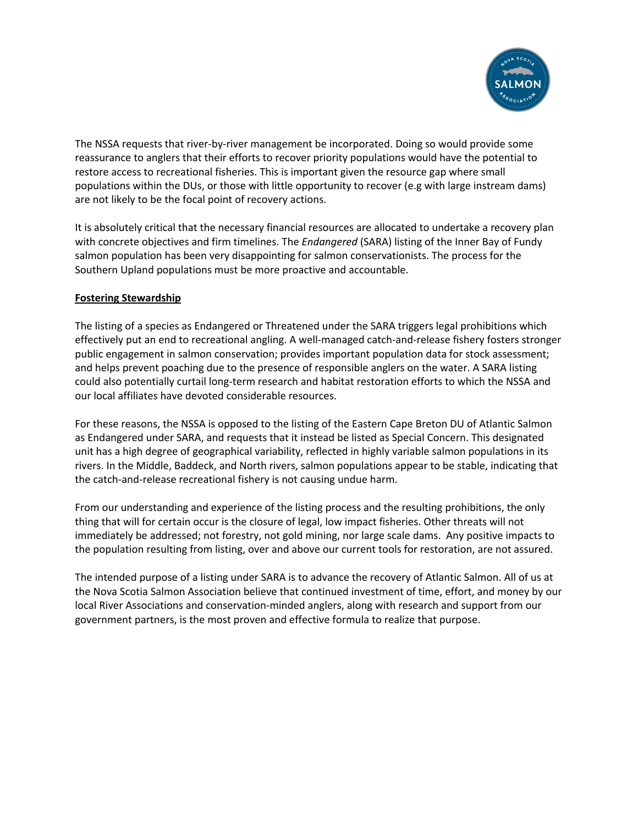

The NSSA requests that river-by-river management be incorporated. Doing so would provide some reassurance to anglers that their efforts to recover priority populations would have the potential to restore access to recreational fisheries. This is important given the resource gap where small populations within the DUs, or those with little opportunity to recover (e.g with large instream dams) are not likely to be the focal point of recovery actions.

It is absolutely critical that the necessary financial resources are allocated to undertake a recovery plan with concrete objectives and firm timelines. The *Endangered* (SARA) listing of the Inner Bay of Fundy salmon population has been very disappointing for salmon conservationists. The process for the Southern Upland populations must be more proactive and accountable.

## **Fostering Stewardship**

The listing of a species as Endangered or Threatened under the SARA triggers legal prohibitions which effectively put an end to recreational angling. A well-managed catch-and-release fishery fosters stronger public engagement in salmon conservation; provides important population data for stock assessment; and helps prevent poaching due to the presence of responsible anglers on the water. A SARA listing could also potentially curtail long-term research and habitat restoration efforts to which the NSSA and our local affiliates have devoted considerable resources.

For these reasons, the NSSA is opposed to the listing of the Eastern Cape Breton DU of Atlantic Salmon as Endangered under SARA, and requests that it instead be listed as Special Concern. This designated unit has a high degree of geographical variability, reflected in highly variable salmon populations in its rivers. In the Middle, Baddeck, and North rivers, salmon populations appear to be stable, indicating that the catch-and-release recreational fishery is not causing undue harm.

From our understanding and experience of the listing process and the resulting prohibitions, the only thing that will for certain occur is the closure of legal, low impact fisheries. Other threats will not immediately be addressed; not forestry, not gold mining, nor large scale dams. Any positive impacts to the population resulting from listing, over and above our current tools for restoration, are not assured.

The intended purpose of a listing under SARA is to advance the recovery of Atlantic Salmon. All of us at the Nova Scotia Salmon Association believe that continued investment of time, effort, and money by our local River Associations and conservation-minded anglers, along with research and support from our government partners, is the most proven and effective formula to realize that purpose.